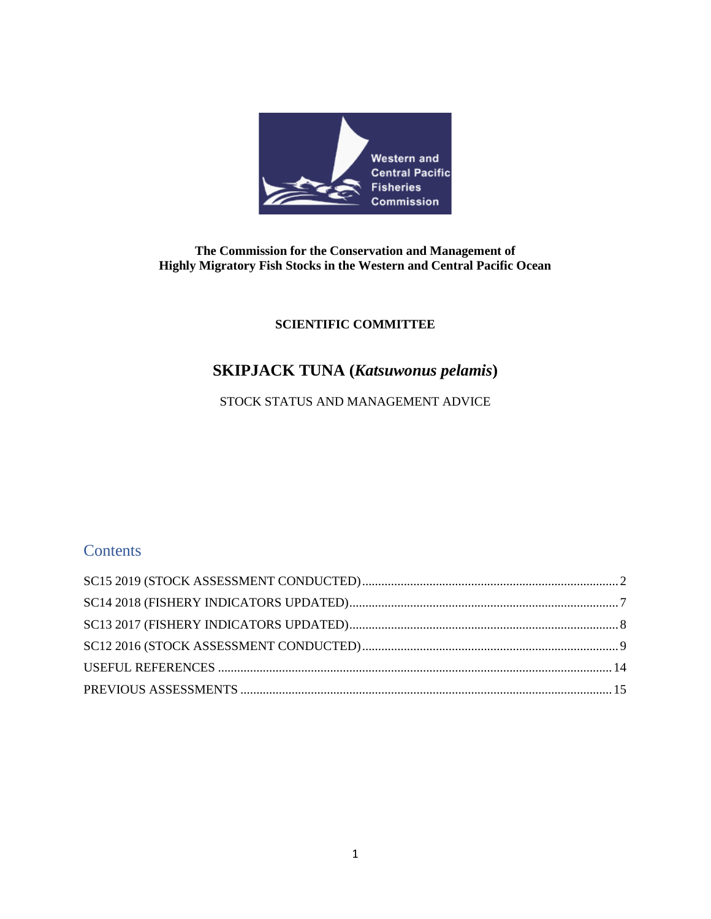

### **The Commission for the Conservation and Management of Highly Migratory Fish Stocks in the Western and Central Pacific Ocean**

## **SCIENTIFIC COMMITTEE**

# **SKIPJACK TUNA (***Katsuwonus pelamis***)**

## STOCK STATUS AND MANAGEMENT ADVICE

## **Contents**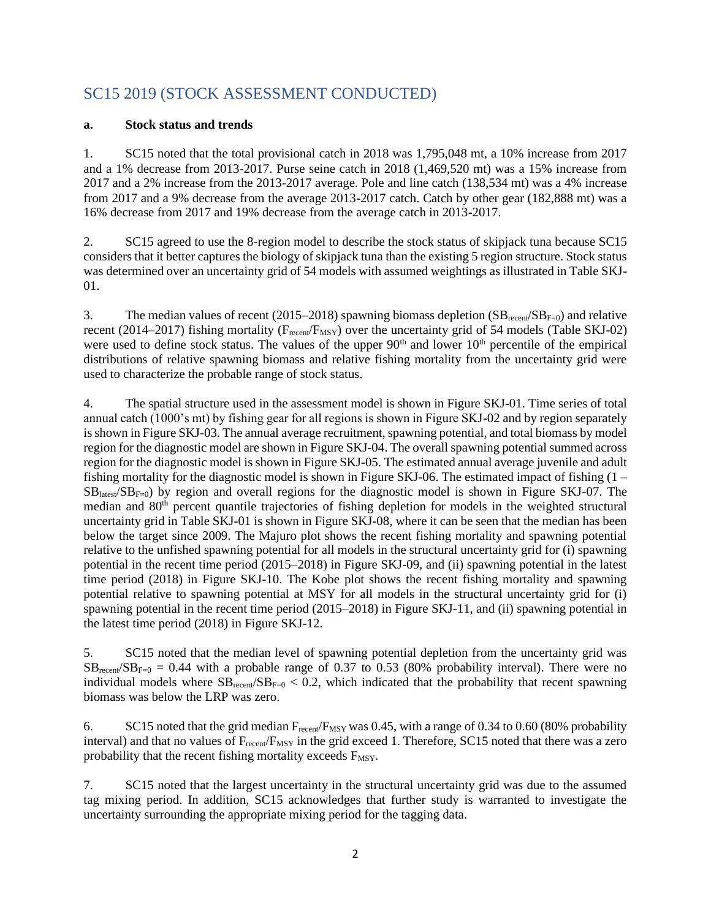## <span id="page-1-0"></span>SC15 2019 (STOCK ASSESSMENT CONDUCTED)

#### **a. Stock status and trends**

1. SC15 noted that the total provisional catch in 2018 was 1,795,048 mt, a 10% increase from 2017 and a 1% decrease from 2013-2017. Purse seine catch in 2018 (1,469,520 mt) was a 15% increase from 2017 and a 2% increase from the 2013-2017 average. Pole and line catch (138,534 mt) was a 4% increase from 2017 and a 9% decrease from the average 2013-2017 catch. Catch by other gear (182,888 mt) was a 16% decrease from 2017 and 19% decrease from the average catch in 2013-2017.

2. SC15 agreed to use the 8-region model to describe the stock status of skipjack tuna because SC15 considers that it better captures the biology of skipjack tuna than the existing 5 region structure. Stock status was determined over an uncertainty grid of 54 models with assumed weightings as illustrated in Table SKJ-01.

3. The median values of recent (2015–2018) spawning biomass depletion  $(SB_{\text{recent}}/SB_{\text{F=0}})$  and relative recent (2014–2017) fishing mortality ( $F_{recent}/F_{MSY}$ ) over the uncertainty grid of 54 models (Table SKJ-02) were used to define stock status. The values of the upper  $90<sup>th</sup>$  and lower  $10<sup>th</sup>$  percentile of the empirical distributions of relative spawning biomass and relative fishing mortality from the uncertainty grid were used to characterize the probable range of stock status.

4. The spatial structure used in the assessment model is shown in Figure SKJ-01. Time series of total annual catch (1000's mt) by fishing gear for all regions is shown in Figure SKJ-02 and by region separately is shown in Figure SKJ-03. The annual average recruitment, spawning potential, and total biomass by model region for the diagnostic model are shown in Figure SKJ-04. The overall spawning potential summed across region for the diagnostic model is shown in Figure SKJ-05. The estimated annual average juvenile and adult fishing mortality for the diagnostic model is shown in Figure SKJ-06. The estimated impact of fishing  $(1 SB<sub>lates'</sub>/SB<sub>F=0</sub>$ ) by region and overall regions for the diagnostic model is shown in Figure SKJ-07. The median and 80<sup>th</sup> percent quantile trajectories of fishing depletion for models in the weighted structural uncertainty grid in Table SKJ-01 is shown in Figure SKJ-08, where it can be seen that the median has been below the target since 2009. The Majuro plot shows the recent fishing mortality and spawning potential relative to the unfished spawning potential for all models in the structural uncertainty grid for (i) spawning potential in the recent time period (2015–2018) in Figure SKJ-09, and (ii) spawning potential in the latest time period (2018) in Figure SKJ-10. The Kobe plot shows the recent fishing mortality and spawning potential relative to spawning potential at MSY for all models in the structural uncertainty grid for (i) spawning potential in the recent time period (2015–2018) in Figure SKJ-11, and (ii) spawning potential in the latest time period (2018) in Figure SKJ-12.

5. SC15 noted that the median level of spawning potential depletion from the uncertainty grid was  $SB_{recent}/SB_{F=0} = 0.44$  with a probable range of 0.37 to 0.53 (80% probability interval). There were no individual models where  $SB_{recon}/SB_{F=0} < 0.2$ , which indicated that the probability that recent spawning biomass was below the LRP was zero.

6. SC15 noted that the grid median  $F_{recent}/F_{MSY}$  was 0.45, with a range of 0.34 to 0.60 (80% probability interval) and that no values of F<sub>recent</sub>/F<sub>MSY</sub> in the grid exceed 1. Therefore, SC15 noted that there was a zero probability that the recent fishing mortality exceeds F<sub>MSY</sub>.

7. SC15 noted that the largest uncertainty in the structural uncertainty grid was due to the assumed tag mixing period. In addition, SC15 acknowledges that further study is warranted to investigate the uncertainty surrounding the appropriate mixing period for the tagging data.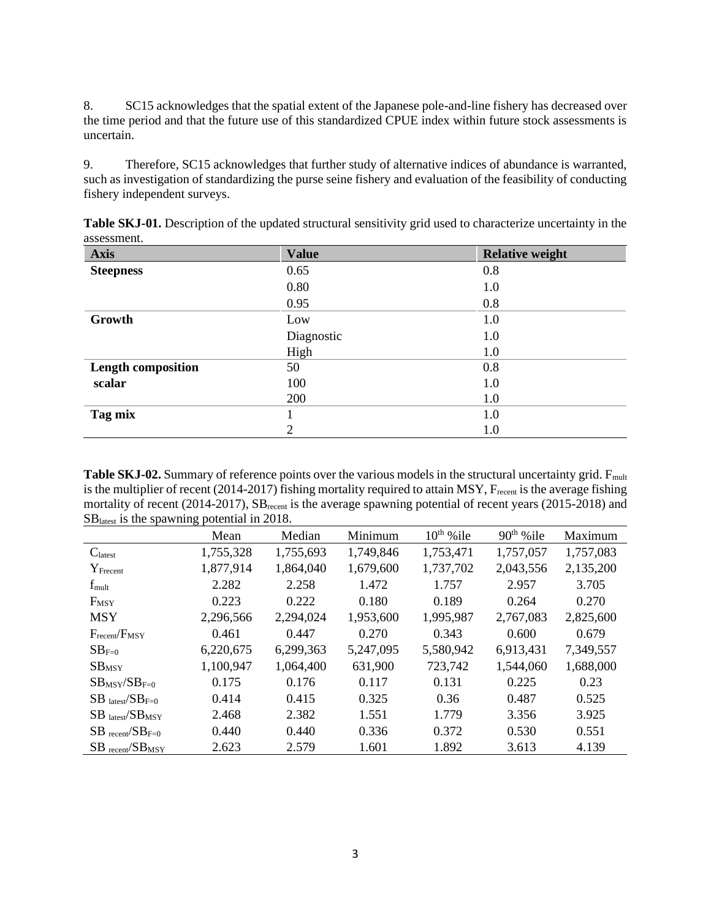8. SC15 acknowledges that the spatial extent of the Japanese pole-and-line fishery has decreased over the time period and that the future use of this standardized CPUE index within future stock assessments is uncertain.

9. Therefore, SC15 acknowledges that further study of alternative indices of abundance is warranted, such as investigation of standardizing the purse seine fishery and evaluation of the feasibility of conducting fishery independent surveys.

| <b>Axis</b>               | <b>Value</b> | <b>Relative weight</b> |
|---------------------------|--------------|------------------------|
| <b>Steepness</b>          | 0.65         | 0.8                    |
|                           | 0.80         | 1.0                    |
|                           | 0.95         | 0.8                    |
| Growth                    | Low          | 1.0                    |
|                           | Diagnostic   | 1.0                    |
|                           | High         | 1.0                    |
| <b>Length composition</b> | 50           | 0.8                    |
| scalar                    | 100          | 1.0                    |
|                           | 200          | 1.0                    |
| Tag mix                   |              | 1.0                    |
|                           | 2            | 1.0                    |

**Table SKJ-01.** Description of the updated structural sensitivity grid used to characterize uncertainty in the assessment.

**Table SKJ-02.** Summary of reference points over the various models in the structural uncertainty grid. F<sub>mult</sub> is the multiplier of recent (2014-2017) fishing mortality required to attain MSY,  $F_{recent}$  is the average fishing mortality of recent (2014-2017), SB<sub>recent</sub> is the average spawning potential of recent years (2015-2018) and SBlatest is the spawning potential in 2018.

|                                         | Mean      | Median    | Minimum   | $10^{th}$ % ile | $90th$ % ile | Maximum   |
|-----------------------------------------|-----------|-----------|-----------|-----------------|--------------|-----------|
| $C_{\text{latest}}$                     | 1,755,328 | 1,755,693 | 1,749,846 | 1,753,471       | 1,757,057    | 1,757,083 |
| $Y_{\text{Frecent}}$                    | 1,877,914 | 1,864,040 | 1,679,600 | 1,737,702       | 2,043,556    | 2,135,200 |
| $f_{\text{mult}}$                       | 2.282     | 2.258     | 1.472     | 1.757           | 2.957        | 3.705     |
| $F_{MSY}$                               | 0.223     | 0.222     | 0.180     | 0.189           | 0.264        | 0.270     |
| <b>MSY</b>                              | 2,296,566 | 2,294,024 | 1,953,600 | 1,995,987       | 2,767,083    | 2,825,600 |
| $F_{recent}/F_{MSY}$                    | 0.461     | 0.447     | 0.270     | 0.343           | 0.600        | 0.679     |
| $SB_{F=0}$                              | 6,220,675 | 6,299,363 | 5,247,095 | 5,580,942       | 6,913,431    | 7,349,557 |
| SB <sub>MSY</sub>                       | 1,100,947 | 1,064,400 | 631,900   | 723,742         | 1,544,060    | 1,688,000 |
| $SB$ <sub>MSY</sub> $SB$ <sub>F=0</sub> | 0.175     | 0.176     | 0.117     | 0.131           | 0.225        | 0.23      |
| $SB$ <sub>latest</sub> $/SB_{F=0}$      | 0.414     | 0.415     | 0.325     | 0.36            | 0.487        | 0.525     |
| $SB$ latest/ $SB$ MSY                   | 2.468     | 2.382     | 1.551     | 1.779           | 3.356        | 3.925     |
| $SB$ recent/ $SBF=0$                    | 0.440     | 0.440     | 0.336     | 0.372           | 0.530        | 0.551     |
| $SB$ recent/ $SB$ <sub>MSY</sub>        | 2.623     | 2.579     | 1.601     | 1.892           | 3.613        | 4.139     |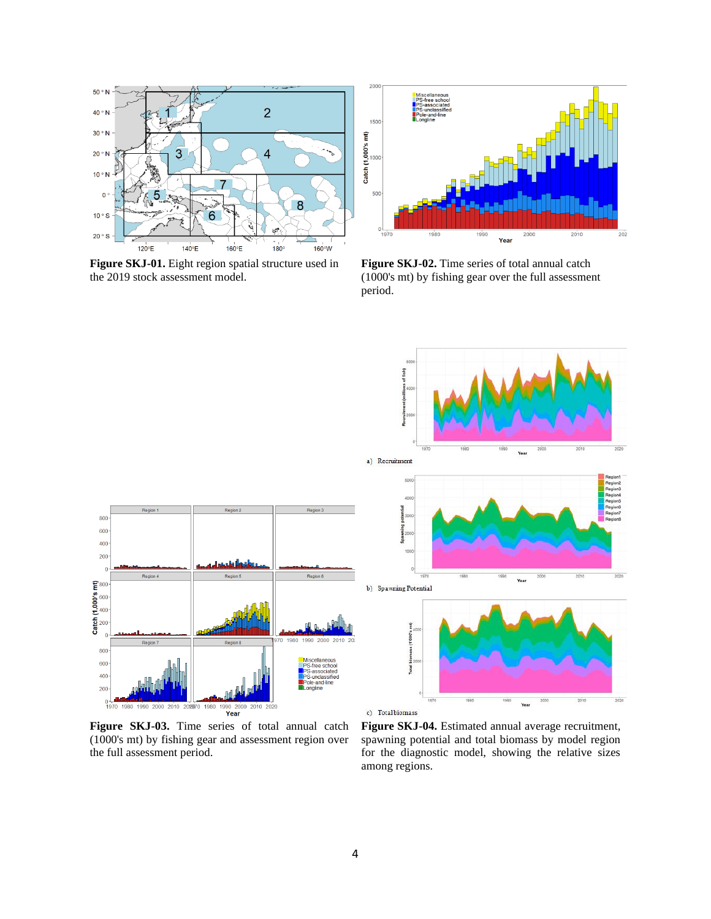

**Figure SKJ-01.** Eight region spatial structure used in the 2019 stock assessment model.



Figure SKJ-02. Time series of total annual catch (1000's mt) by fishing gear over the full assessment period.



**Figure SKJ-03.** Time series of total annual catch (1000's mt) by fishing gear and assessment region over the full assessment period.

**Figure SKJ-04.** Estimated annual average recruitment, spawning potential and total biomass by model region for the diagnostic model, showing the relative sizes among regions.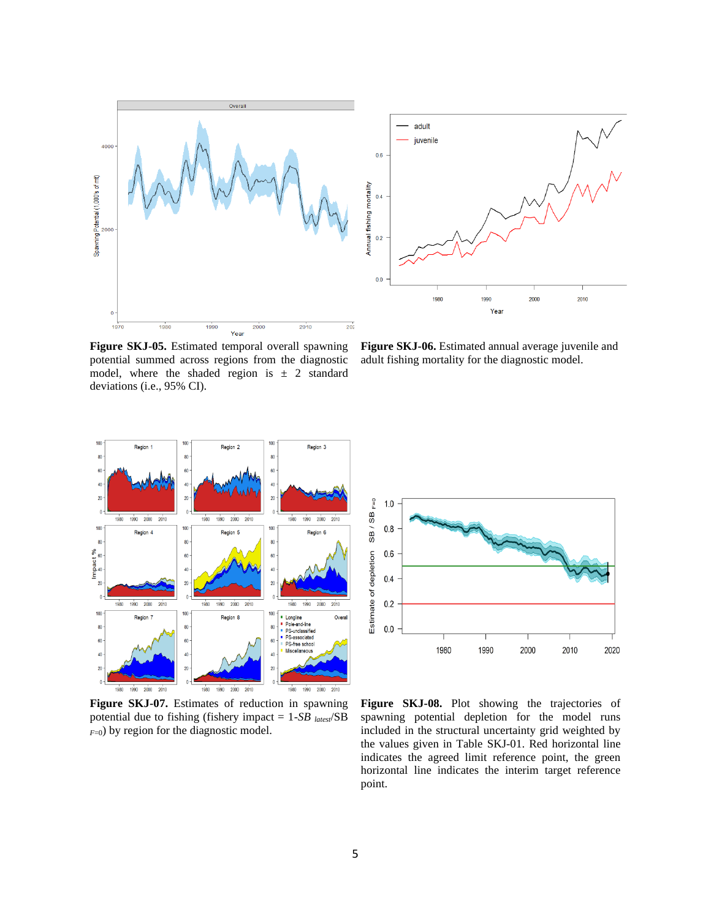



**Figure SKJ-05.** Estimated temporal overall spawning potential summed across regions from the diagnostic model, where the shaded region is  $\pm$  2 standard deviations (i.e., 95% CI).

**Figure SKJ-06.** Estimated annual average juvenile and adult fishing mortality for the diagnostic model.



**Figure SKJ-07.** Estimates of reduction in spawning potential due to fishing (fishery impact = 1*-SB latest*/SB  $F=0$ ) by region for the diagnostic model.



**Figure SKJ-08.** Plot showing the trajectories of spawning potential depletion for the model runs included in the structural uncertainty grid weighted by the values given in Table SKJ-01. Red horizontal line indicates the agreed limit reference point, the green horizontal line indicates the interim target reference point.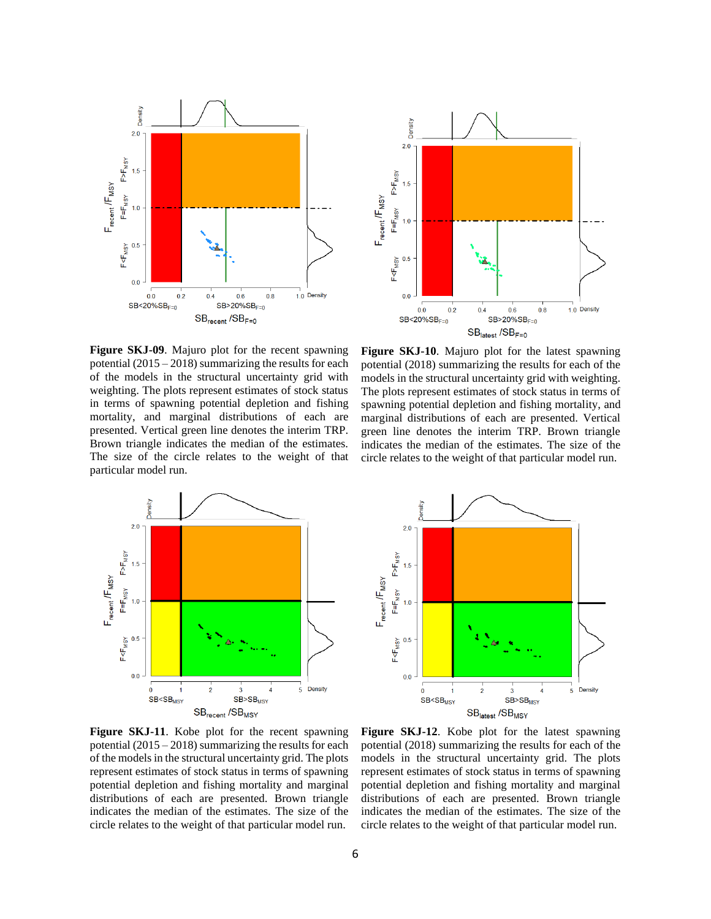



**Figure SKJ-09**. Majuro plot for the recent spawning potential (2015 – 2018) summarizing the results for each of the models in the structural uncertainty grid with weighting. The plots represent estimates of stock status in terms of spawning potential depletion and fishing mortality, and marginal distributions of each are presented. Vertical green line denotes the interim TRP. Brown triangle indicates the median of the estimates. The size of the circle relates to the weight of that particular model run.

**Figure SKJ-10**. Majuro plot for the latest spawning potential (2018) summarizing the results for each of the models in the structural uncertainty grid with weighting. The plots represent estimates of stock status in terms of spawning potential depletion and fishing mortality, and marginal distributions of each are presented. Vertical green line denotes the interim TRP. Brown triangle indicates the median of the estimates. The size of the circle relates to the weight of that particular model run.





**Figure SKJ-11**. Kobe plot for the recent spawning potential (2015 – 2018) summarizing the results for each of the models in the structural uncertainty grid. The plots represent estimates of stock status in terms of spawning potential depletion and fishing mortality and marginal distributions of each are presented. Brown triangle indicates the median of the estimates. The size of the circle relates to the weight of that particular model run.

**Figure SKJ-12**. Kobe plot for the latest spawning potential (2018) summarizing the results for each of the models in the structural uncertainty grid. The plots represent estimates of stock status in terms of spawning potential depletion and fishing mortality and marginal distributions of each are presented. Brown triangle indicates the median of the estimates. The size of the circle relates to the weight of that particular model run.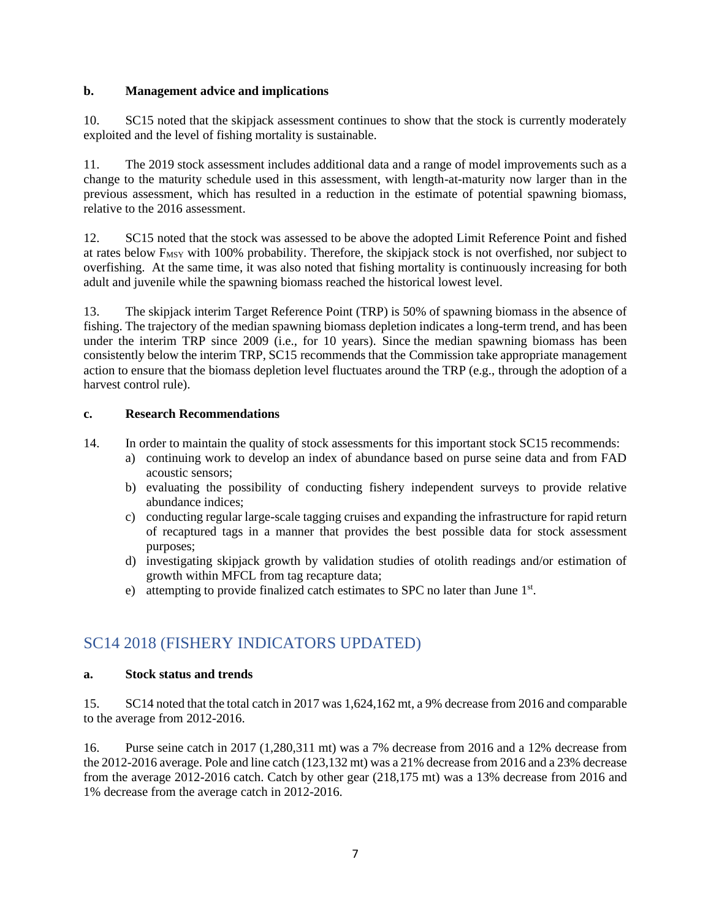#### **b. Management advice and implications**

10. SC15 noted that the skipjack assessment continues to show that the stock is currently moderately exploited and the level of fishing mortality is sustainable.

11. The 2019 stock assessment includes additional data and a range of model improvements such as a change to the maturity schedule used in this assessment, with length-at-maturity now larger than in the previous assessment, which has resulted in a reduction in the estimate of potential spawning biomass, relative to the 2016 assessment.

12. SC15 noted that the stock was assessed to be above the adopted Limit Reference Point and fished at rates below F<sub>MSY</sub> with 100% probability. Therefore, the skipjack stock is not overfished, nor subject to overfishing. At the same time, it was also noted that fishing mortality is continuously increasing for both adult and juvenile while the spawning biomass reached the historical lowest level.

13. The skipjack interim Target Reference Point (TRP) is 50% of spawning biomass in the absence of fishing. The trajectory of the median spawning biomass depletion indicates a long-term trend, and has been under the interim TRP since 2009 (i.e., for 10 years). Since the median spawning biomass has been consistently below the interim TRP, SC15 recommends that the Commission take appropriate management action to ensure that the biomass depletion level fluctuates around the TRP (e.g., through the adoption of a harvest control rule).

#### **c. Research Recommendations**

14. In order to maintain the quality of stock assessments for this important stock SC15 recommends:

- a) continuing work to develop an index of abundance based on purse seine data and from FAD acoustic sensors;
- b) evaluating the possibility of conducting fishery independent surveys to provide relative abundance indices;
- c) conducting regular large-scale tagging cruises and expanding the infrastructure for rapid return of recaptured tags in a manner that provides the best possible data for stock assessment purposes;
- d) investigating skipjack growth by validation studies of otolith readings and/or estimation of growth within MFCL from tag recapture data;
- e) attempting to provide finalized catch estimates to SPC no later than June 1st.

## <span id="page-6-0"></span>SC14 2018 (FISHERY INDICATORS UPDATED)

#### **a. Stock status and trends**

15. SC14 noted that the total catch in 2017 was 1,624,162 mt, a 9% decrease from 2016 and comparable to the average from 2012-2016.

16. Purse seine catch in 2017 (1,280,311 mt) was a 7% decrease from 2016 and a 12% decrease from the 2012-2016 average. Pole and line catch (123,132 mt) was a 21% decrease from 2016 and a 23% decrease from the average 2012-2016 catch. Catch by other gear (218,175 mt) was a 13% decrease from 2016 and 1% decrease from the average catch in 2012-2016.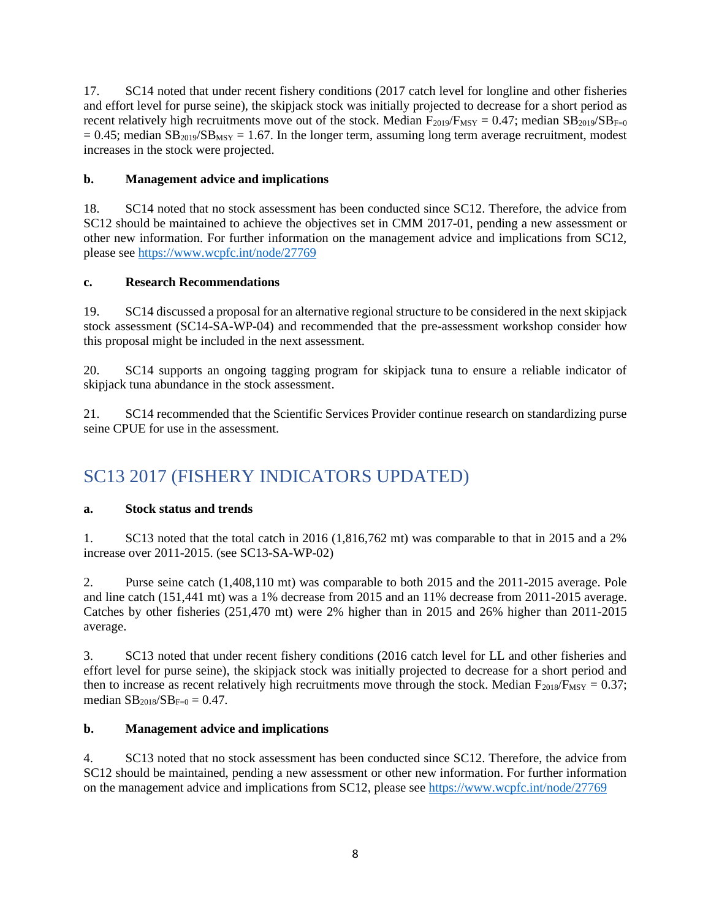17. SC14 noted that under recent fishery conditions (2017 catch level for longline and other fisheries and effort level for purse seine), the skipjack stock was initially projected to decrease for a short period as recent relatively high recruitments move out of the stock. Median  $F_{2019}/F_{MSY} = 0.47$ ; median  $SB_{2019}/SB_{F=0}$  $= 0.45$ ; median SB<sub>2019</sub>/SB<sub>MSY</sub> = 1.67. In the longer term, assuming long term average recruitment, modest increases in the stock were projected.

#### **b. Management advice and implications**

18. SC14 noted that no stock assessment has been conducted since SC12. Therefore, the advice from SC12 should be maintained to achieve the objectives set in CMM 2017-01, pending a new assessment or other new information. For further information on the management advice and implications from SC12, please see <https://www.wcpfc.int/node/27769>

#### **c. Research Recommendations**

19. SC14 discussed a proposal for an alternative regional structure to be considered in the next skipjack stock assessment (SC14-SA-WP-04) and recommended that the pre-assessment workshop consider how this proposal might be included in the next assessment.

20. SC14 supports an ongoing tagging program for skipjack tuna to ensure a reliable indicator of skipjack tuna abundance in the stock assessment.

21. SC14 recommended that the Scientific Services Provider continue research on standardizing purse seine CPUE for use in the assessment.

# <span id="page-7-0"></span>SC13 2017 (FISHERY INDICATORS UPDATED)

#### **a. Stock status and trends**

1. SC13 noted that the total catch in 2016 (1,816,762 mt) was comparable to that in 2015 and a 2% increase over 2011-2015. (see SC13-SA-WP-02)

2. Purse seine catch (1,408,110 mt) was comparable to both 2015 and the 2011-2015 average. Pole and line catch (151,441 mt) was a 1% decrease from 2015 and an 11% decrease from 2011-2015 average. Catches by other fisheries (251,470 mt) were 2% higher than in 2015 and 26% higher than 2011-2015 average.

3. SC13 noted that under recent fishery conditions (2016 catch level for LL and other fisheries and effort level for purse seine), the skipjack stock was initially projected to decrease for a short period and then to increase as recent relatively high recruitments move through the stock. Median  $F_{2018}/F_{MSY} = 0.37$ ; median  $SB_{2018}/SB_{F=0} = 0.47$ .

#### **b. Management advice and implications**

4. SC13 noted that no stock assessment has been conducted since SC12. Therefore, the advice from SC12 should be maintained, pending a new assessment or other new information. For further information on the management advice and implications from SC12, please see <https://www.wcpfc.int/node/27769>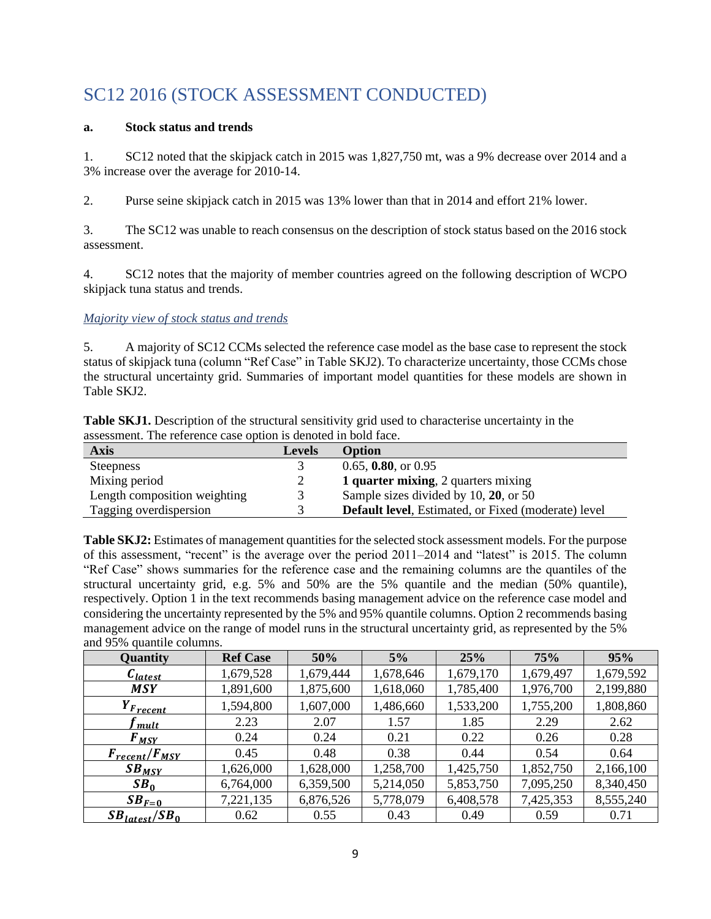# <span id="page-8-0"></span>SC12 2016 (STOCK ASSESSMENT CONDUCTED)

#### **a. Stock status and trends**

1. SC12 noted that the skipjack catch in 2015 was 1,827,750 mt, was a 9% decrease over 2014 and a 3% increase over the average for 2010-14.

2. Purse seine skipjack catch in 2015 was 13% lower than that in 2014 and effort 21% lower.

3. The SC12 was unable to reach consensus on the description of stock status based on the 2016 stock assessment.

4. SC12 notes that the majority of member countries agreed on the following description of WCPO skipjack tuna status and trends.

#### *Majority view of stock status and trends*

5. A majority of SC12 CCMs selected the reference case model as the base case to represent the stock status of skipjack tuna (column "Ref Case" in Table SKJ2). To characterize uncertainty, those CCMs chose the structural uncertainty grid. Summaries of important model quantities for these models are shown in Table SKJ2.

**Table SKJ1.** Description of the structural sensitivity grid used to characterise uncertainty in the assessment. The reference case option is denoted in bold face.

| <b>Axis</b>                  | <b>Levels</b> | Option                                                      |
|------------------------------|---------------|-------------------------------------------------------------|
| <b>Steepness</b>             |               | $0.65, 0.80,$ or $0.95$                                     |
| Mixing period                |               | 1 quarter mixing, 2 quarters mixing                         |
| Length composition weighting | $\mathcal{R}$ | Sample sizes divided by 10, 20, or 50                       |
| Tagging overdispersion       |               | <b>Default level</b> , Estimated, or Fixed (moderate) level |

**Table SKJ2:** Estimates of management quantities for the selected stock assessment models. For the purpose of this assessment, "recent" is the average over the period 2011–2014 and "latest" is 2015. The column "Ref Case" shows summaries for the reference case and the remaining columns are the quantiles of the structural uncertainty grid, e.g. 5% and 50% are the 5% quantile and the median (50% quantile), respectively. Option 1 in the text recommends basing management advice on the reference case model and considering the uncertainty represented by the 5% and 95% quantile columns. Option 2 recommends basing management advice on the range of model runs in the structural uncertainty grid, as represented by the 5% and 95% quantile columns.

| Quantity                  | <b>Ref Case</b> | 50%       | 5%        | 25%       | 75%       | 95%       |
|---------------------------|-----------------|-----------|-----------|-----------|-----------|-----------|
| $c_{\text{latest}}$       | 1,679,528       | 1,679,444 | 1,678,646 | 1,679,170 | 1,679,497 | 1,679,592 |
| <b>MSY</b>                | 1,891,600       | 1,875,600 | 1,618,060 | 1,785,400 | 1,976,700 | 2,199,880 |
| $Y_{Frecent}$             | 1,594,800       | 1,607,000 | 1,486,660 | 1,533,200 | 1,755,200 | 1,808,860 |
| mult                      | 2.23            | 2.07      | 1.57      | 1.85      | 2.29      | 2.62      |
| $F_{MSY}$                 | 0.24            | 0.24      | 0.21      | 0.22      | 0.26      | 0.28      |
| $F_{recent}/F_{MSY}$      | 0.45            | 0.48      | 0.38      | 0.44      | 0.54      | 0.64      |
| $SB_{MSY}$                | 1,626,000       | 1,628,000 | 1,258,700 | 1,425,750 | 1,852,750 | 2,166,100 |
| SB <sub>0</sub>           | 6,764,000       | 6,359,500 | 5,214,050 | 5,853,750 | 7,095,250 | 8,340,450 |
| $SB_{F=0}$                | 7,221,135       | 6,876,526 | 5,778,079 | 6,408,578 | 7,425,353 | 8,555,240 |
| $SB_{\text{latest}}/SB_0$ | 0.62            | 0.55      | 0.43      | 0.49      | 0.59      | 0.71      |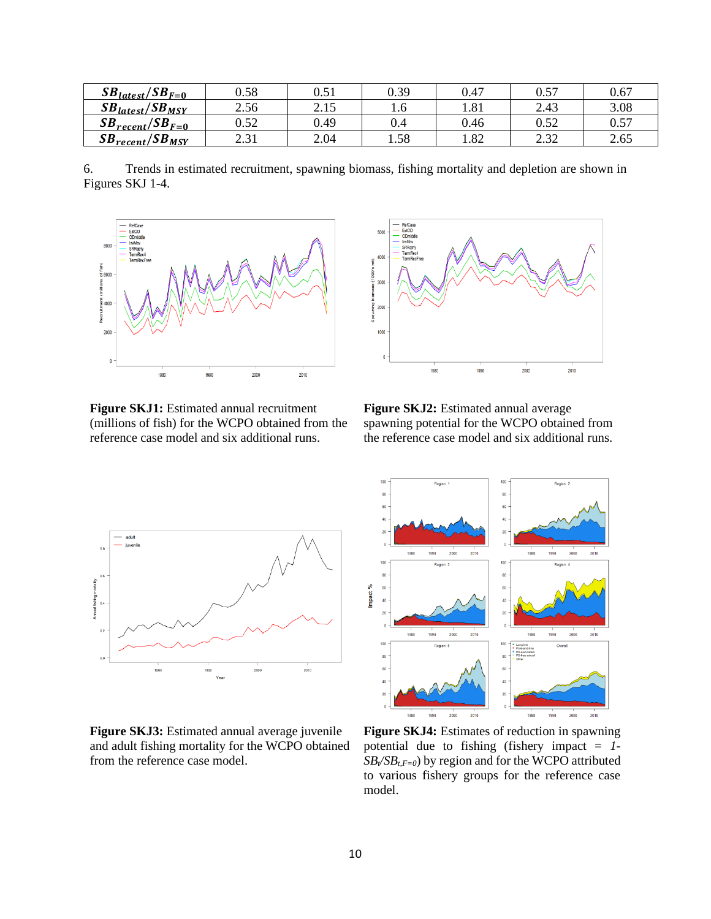| $SB_{\text{latest}}/SB_{F=0}$        | 0.58         | $\rm 0.51$     | 0.39      | 0.47                   | 0.57         | 0.67 |
|--------------------------------------|--------------|----------------|-----------|------------------------|--------------|------|
| $SB_{\text{latest}}/SB_{\text{MSY}}$ | 2.56         | 215<br>ل 1 ، 4 | 1.0       | $\mathbf{Q}$ 1<br>1.01 | 2.43         | 3.08 |
| $SB_{recent}/SB_{F=0}$               | ስ ሩኅ<br>∪.J∠ | 0.49           | $\rm 0.4$ | 0.46                   | 0.52         | 0.57 |
| $SB_{recent}/SB_{ MST}$              | 21<br>∠.J 1  | 2.04           | 1.58      | 1.82                   | 232<br>ے د.ء | 2.65 |

6. Trends in estimated recruitment, spawning biomass, fishing mortality and depletion are shown in Figures SKJ 1-4.



**Figure SKJ1:** Estimated annual recruitment (millions of fish) for the WCPO obtained from the reference case model and six additional runs.



**Figure SKJ2:** Estimated annual average spawning potential for the WCPO obtained from the reference case model and six additional runs.



**Figure SKJ3:** Estimated annual average juvenile and adult fishing mortality for the WCPO obtained from the reference case model.



**Figure SKJ4:** Estimates of reduction in spawning potential due to fishing (fishery impact = *1-*  $SB$ <sub>*i*</sub>*SB*<sub>*t*</sub>*F*=*0*) by region and for the WCPO attributed to various fishery groups for the reference case model.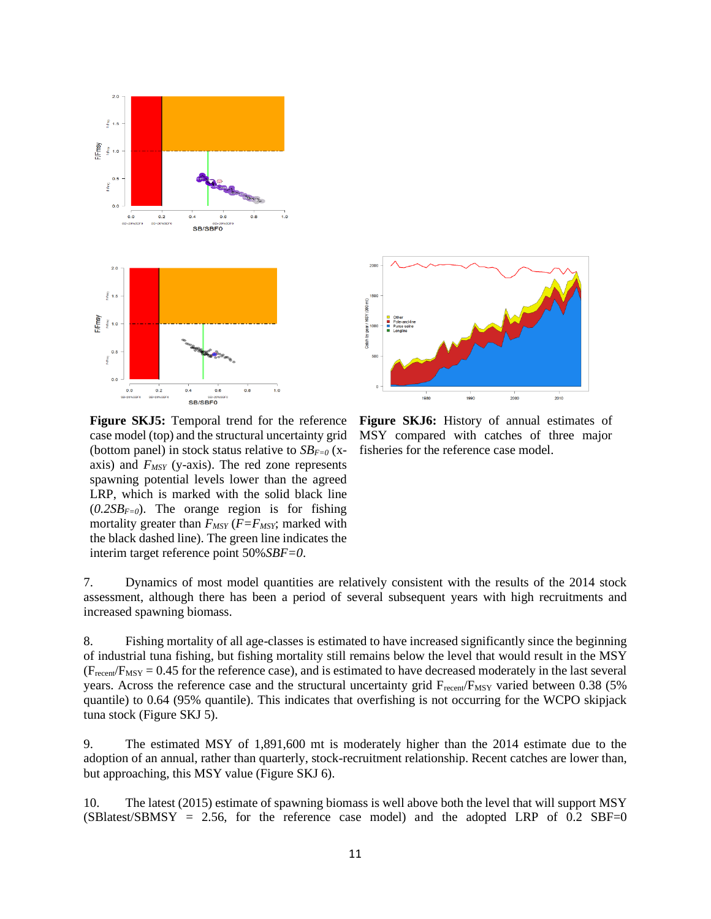

 $\frac{1}{2010}$  $2000$ 1980

**Figure SKJ5:** Temporal trend for the reference case model (top) and the structural uncertainty grid (bottom panel) in stock status relative to  $SB_{F=0}$  (xaxis) and *FMSY* (y-axis). The red zone represents spawning potential levels lower than the agreed LRP, which is marked with the solid black line  $(0.2SB<sub>F=0</sub>)$ . The orange region is for fishing mortality greater than  $F_{MSY}$  ( $F = F_{MSY}$ ; marked with the black dashed line). The green line indicates the interim target reference point 50%*SBF=0*.

**Figure SKJ6:** History of annual estimates of MSY compared with catches of three major fisheries for the reference case model.

7. Dynamics of most model quantities are relatively consistent with the results of the 2014 stock assessment, although there has been a period of several subsequent years with high recruitments and increased spawning biomass.

8. Fishing mortality of all age-classes is estimated to have increased significantly since the beginning of industrial tuna fishing, but fishing mortality still remains below the level that would result in the MSY  $(F_{recent}/F_{MSY} = 0.45$  for the reference case), and is estimated to have decreased moderately in the last several years. Across the reference case and the structural uncertainty grid  $F_{recent}/F_{MSY}$  varied between 0.38 (5%) quantile) to 0.64 (95% quantile). This indicates that overfishing is not occurring for the WCPO skipjack tuna stock (Figure SKJ 5).

9. The estimated MSY of 1,891,600 mt is moderately higher than the 2014 estimate due to the adoption of an annual, rather than quarterly, stock-recruitment relationship. Recent catches are lower than, but approaching, this MSY value (Figure SKJ 6).

10. The latest (2015) estimate of spawning biomass is well above both the level that will support MSY  $(SBlatest/SBMSY = 2.56,$  for the reference case model) and the adopted LRP of 0.2 SBF=0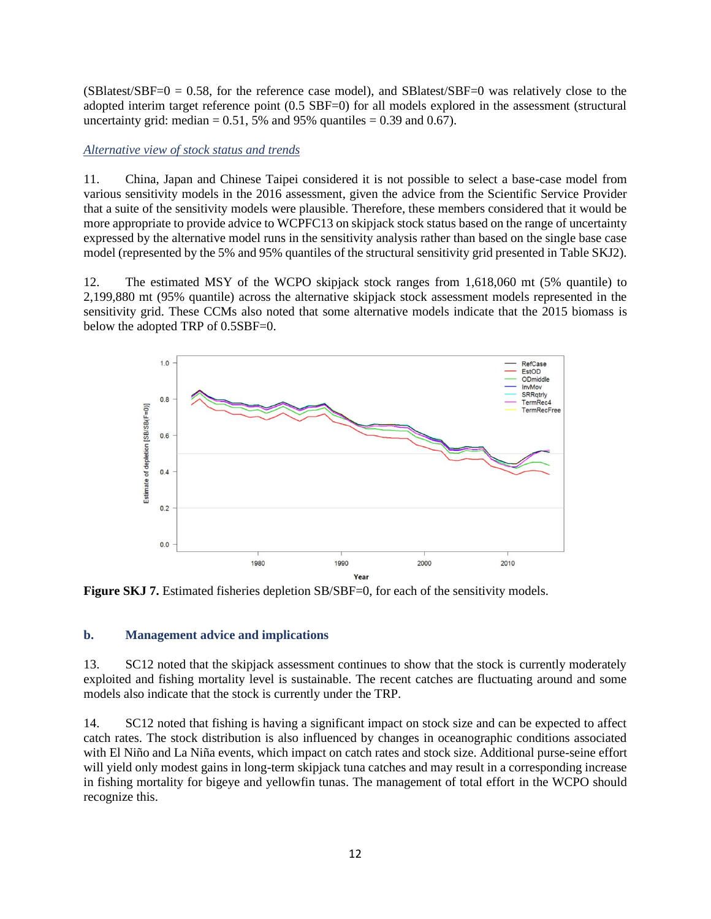$(SBlatest/SBF=0 = 0.58$ , for the reference case model), and SBlatest/SBF=0 was relatively close to the adopted interim target reference point (0.5 SBF=0) for all models explored in the assessment (structural uncertainty grid: median  $= 0.51, 5%$  and 95% quantiles  $= 0.39$  and 0.67).

*Alternative view of stock status and trends*

11. China, Japan and Chinese Taipei considered it is not possible to select a base-case model from various sensitivity models in the 2016 assessment, given the advice from the Scientific Service Provider that a suite of the sensitivity models were plausible. Therefore, these members considered that it would be more appropriate to provide advice to WCPFC13 on skipjack stock status based on the range of uncertainty expressed by the alternative model runs in the sensitivity analysis rather than based on the single base case model (represented by the 5% and 95% quantiles of the structural sensitivity grid presented in Table SKJ2).

12. The estimated MSY of the WCPO skipjack stock ranges from 1,618,060 mt (5% quantile) to 2,199,880 mt (95% quantile) across the alternative skipjack stock assessment models represented in the sensitivity grid. These CCMs also noted that some alternative models indicate that the 2015 biomass is below the adopted TRP of 0.5SBF=0.



**Figure SKJ 7.** Estimated fisheries depletion SB/SBF=0, for each of the sensitivity models.

#### **b. Management advice and implications**

13. SC12 noted that the skipjack assessment continues to show that the stock is currently moderately exploited and fishing mortality level is sustainable. The recent catches are fluctuating around and some models also indicate that the stock is currently under the TRP.

14. SC12 noted that fishing is having a significant impact on stock size and can be expected to affect catch rates. The stock distribution is also influenced by changes in oceanographic conditions associated with El Niño and La Niña events, which impact on catch rates and stock size. Additional purse-seine effort will yield only modest gains in long-term skipjack tuna catches and may result in a corresponding increase in fishing mortality for bigeye and yellowfin tunas. The management of total effort in the WCPO should recognize this.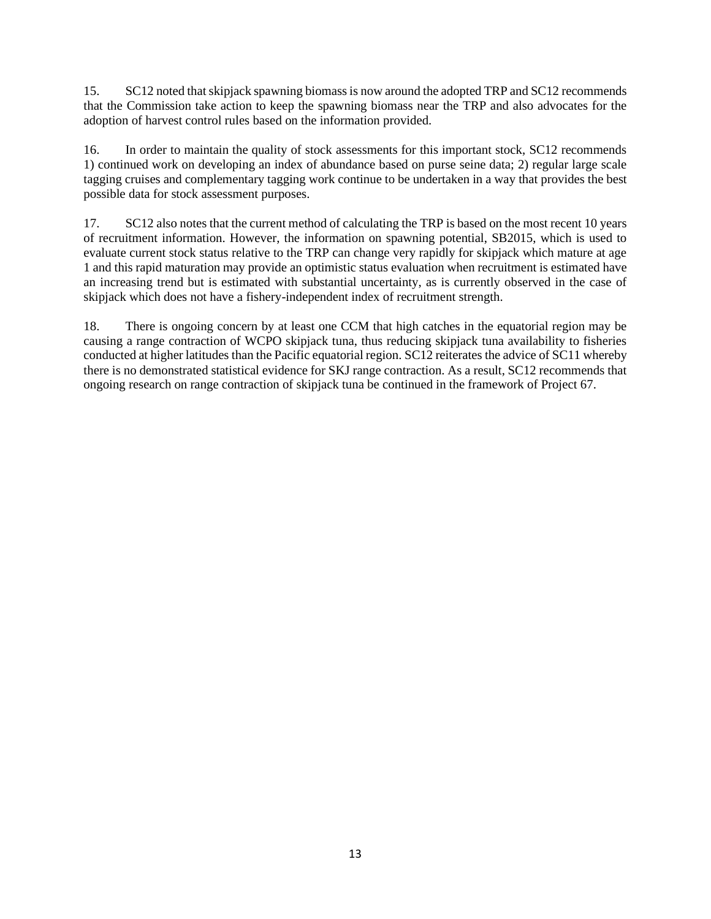15. SC12 noted that skipjack spawning biomass is now around the adopted TRP and SC12 recommends that the Commission take action to keep the spawning biomass near the TRP and also advocates for the adoption of harvest control rules based on the information provided.

16. In order to maintain the quality of stock assessments for this important stock, SC12 recommends 1) continued work on developing an index of abundance based on purse seine data; 2) regular large scale tagging cruises and complementary tagging work continue to be undertaken in a way that provides the best possible data for stock assessment purposes.

17. SC12 also notes that the current method of calculating the TRP is based on the most recent 10 years of recruitment information. However, the information on spawning potential, SB2015, which is used to evaluate current stock status relative to the TRP can change very rapidly for skipjack which mature at age 1 and this rapid maturation may provide an optimistic status evaluation when recruitment is estimated have an increasing trend but is estimated with substantial uncertainty, as is currently observed in the case of skipjack which does not have a fishery-independent index of recruitment strength.

18. There is ongoing concern by at least one CCM that high catches in the equatorial region may be causing a range contraction of WCPO skipjack tuna, thus reducing skipjack tuna availability to fisheries conducted at higher latitudes than the Pacific equatorial region. SC12 reiterates the advice of SC11 whereby there is no demonstrated statistical evidence for SKJ range contraction. As a result, SC12 recommends that ongoing research on range contraction of skipjack tuna be continued in the framework of Project 67.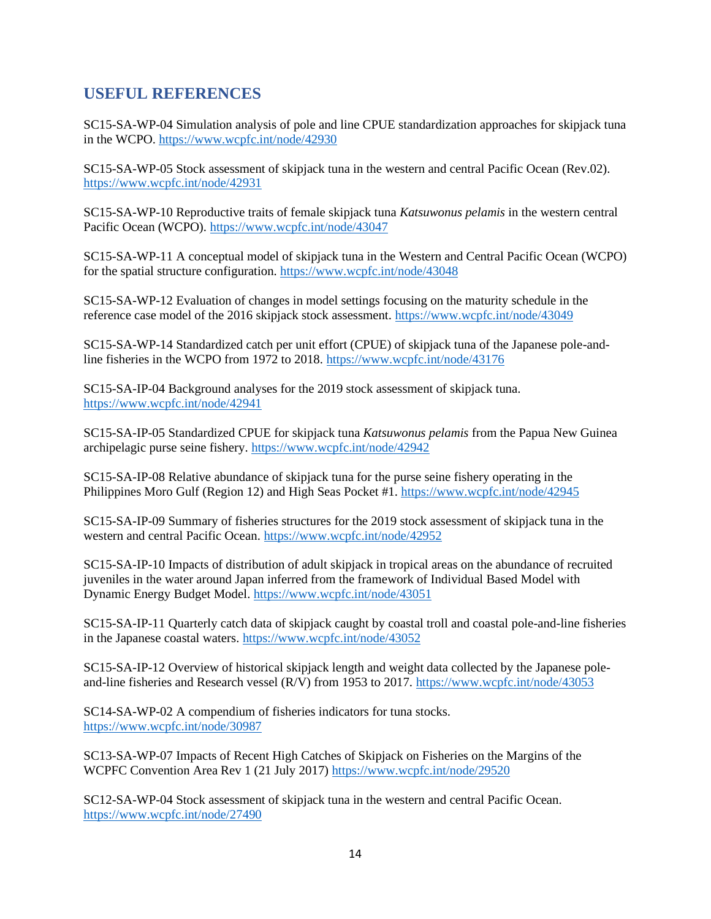## <span id="page-13-0"></span>**USEFUL REFERENCES**

SC15-SA-WP-04 Simulation analysis of pole and line CPUE standardization approaches for skipjack tuna in the WCPO.<https://www.wcpfc.int/node/42930>

SC15-SA-WP-05 Stock assessment of skipjack tuna in the western and central Pacific Ocean (Rev.02). <https://www.wcpfc.int/node/42931>

SC15-SA-WP-10 Reproductive traits of female skipjack tuna *Katsuwonus pelamis* in the western central Pacific Ocean (WCPO)[. https://www.wcpfc.int/node/43047](https://www.wcpfc.int/node/43047)

SC15-SA-WP-11 A conceptual model of skipjack tuna in the Western and Central Pacific Ocean (WCPO) for the spatial structure configuration.<https://www.wcpfc.int/node/43048>

SC15-SA-WP-12 Evaluation of changes in model settings focusing on the maturity schedule in the reference case model of the 2016 skipjack stock assessment.<https://www.wcpfc.int/node/43049>

SC15-SA-WP-14 Standardized catch per unit effort (CPUE) of skipjack tuna of the Japanese pole-andline fisheries in the WCPO from 1972 to 2018.<https://www.wcpfc.int/node/43176>

SC15-SA-IP-04 Background analyses for the 2019 stock assessment of skipjack tuna. <https://www.wcpfc.int/node/42941>

SC15-SA-IP-05 Standardized CPUE for skipjack tuna *Katsuwonus pelamis* from the Papua New Guinea archipelagic purse seine fishery.<https://www.wcpfc.int/node/42942>

SC15-SA-IP-08 Relative abundance of skipjack tuna for the purse seine fishery operating in the Philippines Moro Gulf (Region 12) and High Seas Pocket #1.<https://www.wcpfc.int/node/42945>

SC15-SA-IP-09 Summary of fisheries structures for the 2019 stock assessment of skipjack tuna in the western and central Pacific Ocean.<https://www.wcpfc.int/node/42952>

SC15-SA-IP-10 Impacts of distribution of adult skipjack in tropical areas on the abundance of recruited juveniles in the water around Japan inferred from the framework of Individual Based Model with Dynamic Energy Budget Model.<https://www.wcpfc.int/node/43051>

SC15-SA-IP-11 Quarterly catch data of skipjack caught by coastal troll and coastal pole-and-line fisheries in the Japanese coastal waters.<https://www.wcpfc.int/node/43052>

SC15-SA-IP-12 Overview of historical skipjack length and weight data collected by the Japanese poleand-line fisheries and Research vessel (R/V) from 1953 to 2017.<https://www.wcpfc.int/node/43053>

SC14-SA-WP-02 A compendium of fisheries indicators for tuna stocks. <https://www.wcpfc.int/node/30987>

SC13-SA-WP-07 Impacts of Recent High Catches of Skipjack on Fisheries on the Margins of the WCPFC Convention Area Rev 1 (21 July 2017)<https://www.wcpfc.int/node/29520>

SC12-SA-WP-04 Stock assessment of skipjack tuna in the western and central Pacific Ocean. <https://www.wcpfc.int/node/27490>